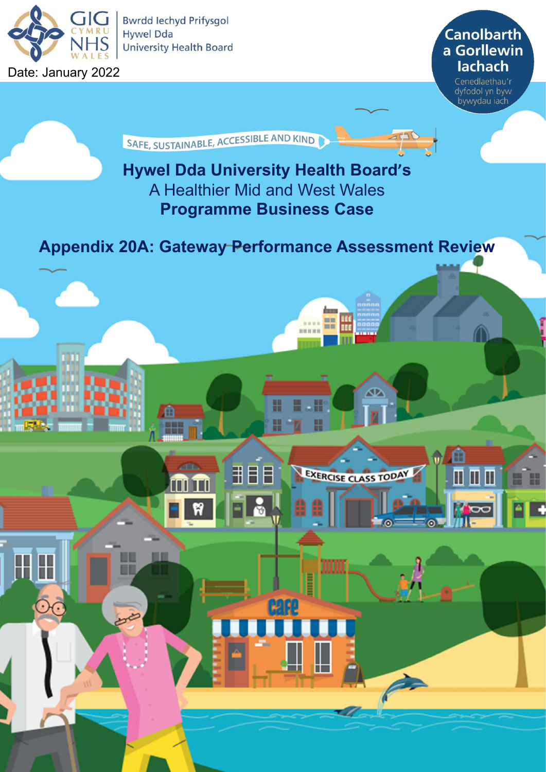

**Bwrdd lechyd Prifysgol Hywel Dda University Health Board** 

Date: January 2022

**Canolbarth** a Gorllewin **lachach** 

> Cenedlaethau'r dyfodol yn byw bywydau iach

> > ⋔

 $\blacksquare$   $\blacksquare$   $\blacksquare$ 

G

H 쁘

SAFE, SUSTAINABLE, ACCESSIBLE AND KIND

# **Hywel Dda University Health Board's** A Healthier Mid and West Wales **Programme Business Case**

**Appendix 20A: Gateway Performance Assessment Review**

₩

用目目

Ħ

Œ

 $= 1000$ 

☎

EXERCISE CLASS TODAY

----

Illini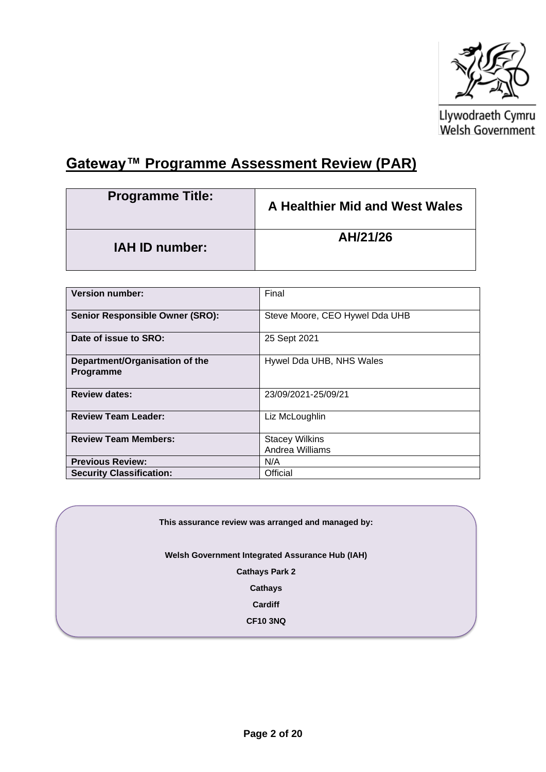

Llywodraeth Cymru<br>Welsh Government

## **Gateway™ Programme Assessment Review (PAR)**

| <b>Programme Title:</b> | A Healthier Mid and West Wales |
|-------------------------|--------------------------------|
| <b>IAH ID number:</b>   | AH/21/26                       |

| <b>Version number:</b>                             | Final                                    |
|----------------------------------------------------|------------------------------------------|
| <b>Senior Responsible Owner (SRO):</b>             | Steve Moore, CEO Hywel Dda UHB           |
| Date of issue to SRO:                              | 25 Sept 2021                             |
| Department/Organisation of the<br><b>Programme</b> | Hywel Dda UHB, NHS Wales                 |
| <b>Review dates:</b>                               | 23/09/2021-25/09/21                      |
| <b>Review Team Leader:</b>                         | Liz McLoughlin                           |
| <b>Review Team Members:</b>                        | <b>Stacey Wilkins</b><br>Andrea Williams |
| <b>Previous Review:</b>                            | N/A                                      |
| <b>Security Classification:</b>                    | Official                                 |

**This assurance review was arranged and managed by:**

**Welsh Government Integrated Assurance Hub (IAH)**

**Cathays Park 2**

**Cathays**

**Cardiff**

**CF10 3NQ**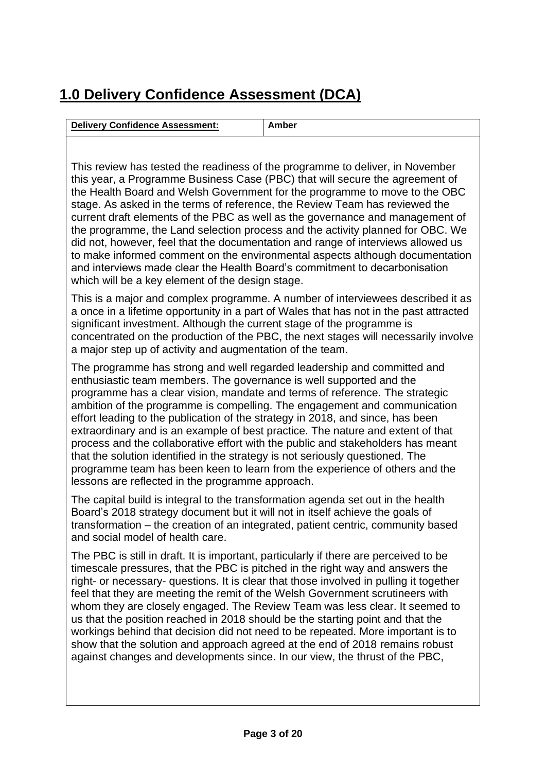# **1.0 Delivery Confidence Assessment (DCA)**

| <b>Delivery Confidence Assessment:</b>                                        | Amber                                                                       |
|-------------------------------------------------------------------------------|-----------------------------------------------------------------------------|
|                                                                               |                                                                             |
| This review has tested the readiness of the programme to deliver, in November |                                                                             |
| this year, a Programme Business Case (PBC) that will secure the agreement of  |                                                                             |
|                                                                               | the Health Board and Welsh Government for the programme to move to the OBC. |

alth Board and Welsh Government for the progr stage. As asked in the terms of reference, the Review Team has reviewed the current draft elements of the PBC as well as the governance and management of the programme, the Land selection process and the activity planned for OBC. We did not, however, feel that the documentation and range of interviews allowed us to make informed comment on the environmental aspects although documentation and interviews made clear the Health Board's commitment to decarbonisation which will be a key element of the design stage.

This is a major and complex programme. A number of interviewees described it as a once in a lifetime opportunity in a part of Wales that has not in the past attracted significant investment. Although the current stage of the programme is concentrated on the production of the PBC, the next stages will necessarily involve a major step up of activity and augmentation of the team.

The programme has strong and well regarded leadership and committed and enthusiastic team members. The governance is well supported and the programme has a clear vision, mandate and terms of reference. The strategic ambition of the programme is compelling. The engagement and communication effort leading to the publication of the strategy in 2018, and since, has been extraordinary and is an example of best practice. The nature and extent of that process and the collaborative effort with the public and stakeholders has meant that the solution identified in the strategy is not seriously questioned. The programme team has been keen to learn from the experience of others and the lessons are reflected in the programme approach.

The capital build is integral to the transformation agenda set out in the health Board's 2018 strategy document but it will not in itself achieve the goals of transformation – the creation of an integrated, patient centric, community based and social model of health care.

The PBC is still in draft. It is important, particularly if there are perceived to be timescale pressures, that the PBC is pitched in the right way and answers the right- or necessary- questions. It is clear that those involved in pulling it together feel that they are meeting the remit of the Welsh Government scrutineers with whom they are closely engaged. The Review Team was less clear. It seemed to us that the position reached in 2018 should be the starting point and that the workings behind that decision did not need to be repeated. More important is to show that the solution and approach agreed at the end of 2018 remains robust against changes and developments since. In our view, the thrust of the PBC,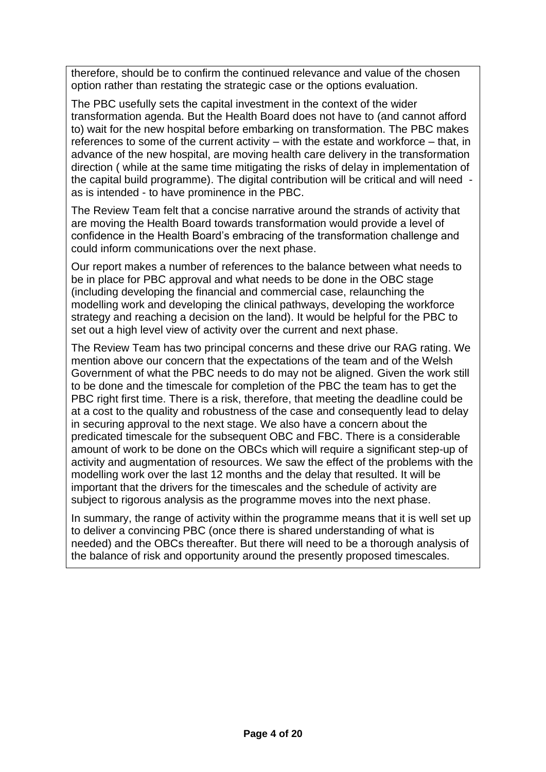therefore, should be to confirm the continued relevance and value of the chosen option rather than restating the strategic case or the options evaluation.

The PBC usefully sets the capital investment in the context of the wider transformation agenda. But the Health Board does not have to (and cannot afford to) wait for the new hospital before embarking on transformation. The PBC makes references to some of the current activity – with the estate and workforce – that, in advance of the new hospital, are moving health care delivery in the transformation direction ( while at the same time mitigating the risks of delay in implementation of the capital build programme). The digital contribution will be critical and will need as is intended - to have prominence in the PBC.

The Review Team felt that a concise narrative around the strands of activity that are moving the Health Board towards transformation would provide a level of confidence in the Health Board's embracing of the transformation challenge and could inform communications over the next phase.

Our report makes a number of references to the balance between what needs to be in place for PBC approval and what needs to be done in the OBC stage (including developing the financial and commercial case, relaunching the modelling work and developing the clinical pathways, developing the workforce strategy and reaching a decision on the land). It would be helpful for the PBC to set out a high level view of activity over the current and next phase.

The Review Team has two principal concerns and these drive our RAG rating. We mention above our concern that the expectations of the team and of the Welsh Government of what the PBC needs to do may not be aligned. Given the work still to be done and the timescale for completion of the PBC the team has to get the PBC right first time. There is a risk, therefore, that meeting the deadline could be at a cost to the quality and robustness of the case and consequently lead to delay in securing approval to the next stage. We also have a concern about the predicated timescale for the subsequent OBC and FBC. There is a considerable amount of work to be done on the OBCs which will require a significant step-up of activity and augmentation of resources. We saw the effect of the problems with the modelling work over the last 12 months and the delay that resulted. It will be important that the drivers for the timescales and the schedule of activity are subject to rigorous analysis as the programme moves into the next phase.

In summary, the range of activity within the programme means that it is well set up to deliver a convincing PBC (once there is shared understanding of what is needed) and the OBCs thereafter. But there will need to be a thorough analysis of the balance of risk and opportunity around the presently proposed timescales.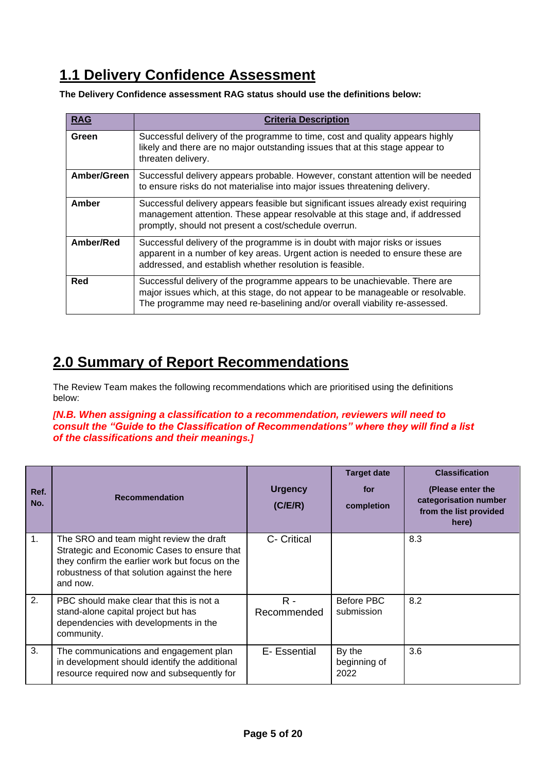## **1.1 Delivery Confidence Assessment**

**The Delivery Confidence assessment RAG status should use the definitions below:**

| <b>RAG</b>  | <b>Criteria Description</b>                                                                                                                                                                                                                  |
|-------------|----------------------------------------------------------------------------------------------------------------------------------------------------------------------------------------------------------------------------------------------|
| Green       | Successful delivery of the programme to time, cost and quality appears highly<br>likely and there are no major outstanding issues that at this stage appear to<br>threaten delivery.                                                         |
| Amber/Green | Successful delivery appears probable. However, constant attention will be needed<br>to ensure risks do not materialise into major issues threatening delivery.                                                                               |
| Amber       | Successful delivery appears feasible but significant issues already exist requiring<br>management attention. These appear resolvable at this stage and, if addressed<br>promptly, should not present a cost/schedule overrun.                |
| Amber/Red   | Successful delivery of the programme is in doubt with major risks or issues<br>apparent in a number of key areas. Urgent action is needed to ensure these are<br>addressed, and establish whether resolution is feasible.                    |
| Red         | Successful delivery of the programme appears to be unachievable. There are<br>major issues which, at this stage, do not appear to be manageable or resolvable.<br>The programme may need re-baselining and/or overall viability re-assessed. |

## **2.0 Summary of Report Recommendations**

The Review Team makes the following recommendations which are prioritised using the definitions below:

#### *[N.B. When assigning a classification to a recommendation, reviewers will need to consult the "Guide to the Classification of Recommendations" where they will find a list of the classifications and their meanings.]*

| Ref.<br>No. | <b>Recommendation</b>                                                                                                                                                                                | <b>Urgency</b><br>(C/EX) | <b>Target date</b><br>for<br>completion | <b>Classification</b><br>(Please enter the<br>categorisation number<br>from the list provided<br>here) |
|-------------|------------------------------------------------------------------------------------------------------------------------------------------------------------------------------------------------------|--------------------------|-----------------------------------------|--------------------------------------------------------------------------------------------------------|
| 1.          | The SRO and team might review the draft<br>Strategic and Economic Cases to ensure that<br>they confirm the earlier work but focus on the<br>robustness of that solution against the here<br>and now. | C- Critical              |                                         | 8.3                                                                                                    |
| 2.          | PBC should make clear that this is not a<br>stand-alone capital project but has<br>dependencies with developments in the<br>community.                                                               | $R -$<br>Recommended     | Before PBC<br>submission                | 8.2                                                                                                    |
| 3.          | The communications and engagement plan<br>in development should identify the additional<br>resource required now and subsequently for                                                                | E- Essential             | By the<br>beginning of<br>2022          | 3.6                                                                                                    |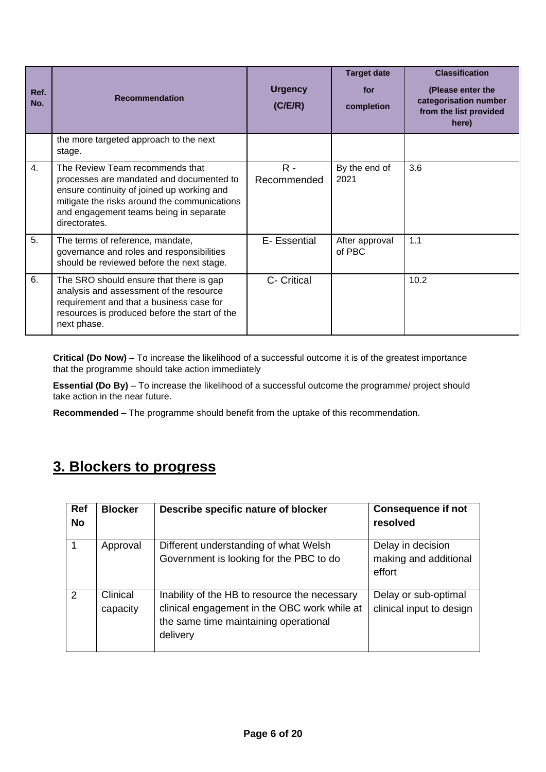| Ref.<br>No. | <b>Recommendation</b>                                                                                                                                                                                                                | <b>Urgency</b><br>(C/EX) | <b>Target date</b><br>for<br>completion | <b>Classification</b><br>(Please enter the<br>categorisation number<br>from the list provided<br>here) |
|-------------|--------------------------------------------------------------------------------------------------------------------------------------------------------------------------------------------------------------------------------------|--------------------------|-----------------------------------------|--------------------------------------------------------------------------------------------------------|
|             | the more targeted approach to the next<br>stage.                                                                                                                                                                                     |                          |                                         |                                                                                                        |
| 4.          | The Review Team recommends that<br>processes are mandated and documented to<br>ensure continuity of joined up working and<br>mitigate the risks around the communications<br>and engagement teams being in separate<br>directorates. | $R -$<br>Recommended     | By the end of<br>2021                   | 3.6                                                                                                    |
| 5.          | The terms of reference, mandate,<br>governance and roles and responsibilities<br>should be reviewed before the next stage.                                                                                                           | E- Essential             | After approval<br>of PBC                | 1.1                                                                                                    |
| 6.          | The SRO should ensure that there is gap<br>analysis and assessment of the resource<br>requirement and that a business case for<br>resources is produced before the start of the<br>next phase.                                       | C- Critical              |                                         | 10.2                                                                                                   |

**Critical (Do Now)** – To increase the likelihood of a successful outcome it is of the greatest importance that the programme should take action immediately

**Essential (Do By)** – To increase the likelihood of a successful outcome the programme/ project should take action in the near future.

**Recommended** – The programme should benefit from the uptake of this recommendation.

## **3. Blockers to progress**

| <b>Ref</b><br><b>No</b> | <b>Blocker</b>       | Describe specific nature of blocker                                                                                                                | <b>Consequence if not</b><br>resolved                |
|-------------------------|----------------------|----------------------------------------------------------------------------------------------------------------------------------------------------|------------------------------------------------------|
| 1                       | Approval             | Different understanding of what Welsh<br>Government is looking for the PBC to do                                                                   | Delay in decision<br>making and additional<br>effort |
| $\mathcal{P}$           | Clinical<br>capacity | Inability of the HB to resource the necessary<br>clinical engagement in the OBC work while at<br>the same time maintaining operational<br>delivery | Delay or sub-optimal<br>clinical input to design     |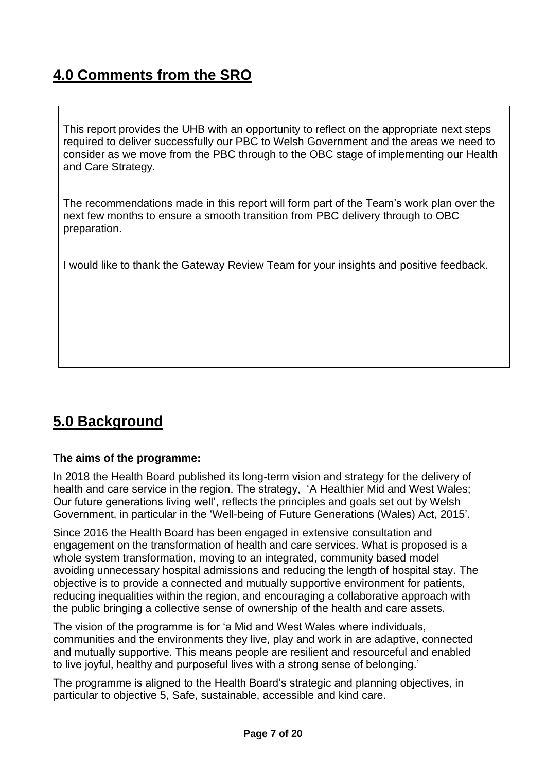## **4.0 Comments from the SRO**

This report provides the UHB with an opportunity to reflect on the appropriate next steps required to deliver successfully our PBC to Welsh Government and the areas we need to consider as we move from the PBC through to the OBC stage of implementing our Health and Care Strategy.

The recommendations made in this report will form part of the Team's work plan over the next few months to ensure a smooth transition from PBC delivery through to OBC preparation.

I would like to thank the Gateway Review Team for your insights and positive feedback.

## **5.0 Background**

#### **The aims of the programme:**

In 2018 the Health Board published its long-term vision and strategy for the delivery of health and care service in the region. The strategy, 'A Healthier Mid and West Wales; Our future generations living well', reflects the principles and goals set out by Welsh Government, in particular in the 'Well-being of Future Generations (Wales) Act, 2015'.

Since 2016 the Health Board has been engaged in extensive consultation and engagement on the transformation of health and care services. What is proposed is a whole system transformation, moving to an integrated, community based model avoiding unnecessary hospital admissions and reducing the length of hospital stay. The objective is to provide a connected and mutually supportive environment for patients, reducing inequalities within the region, and encouraging a collaborative approach with the public bringing a collective sense of ownership of the health and care assets.

The vision of the programme is for 'a Mid and West Wales where individuals, communities and the environments they live, play and work in are adaptive, connected and mutually supportive. This means people are resilient and resourceful and enabled to live joyful, healthy and purposeful lives with a strong sense of belonging.'

The programme is aligned to the Health Board's strategic and planning objectives, in particular to objective 5, Safe, sustainable, accessible and kind care.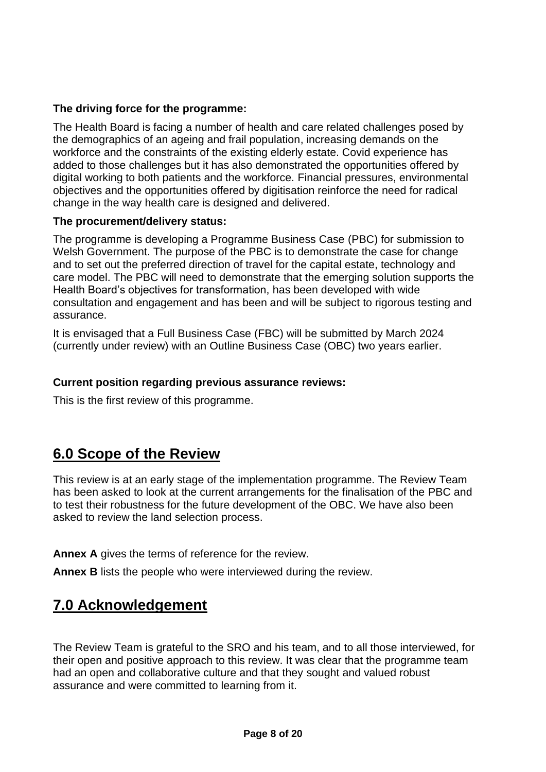#### **The driving force for the programme:**

The Health Board is facing a number of health and care related challenges posed by the demographics of an ageing and frail population, increasing demands on the workforce and the constraints of the existing elderly estate. Covid experience has added to those challenges but it has also demonstrated the opportunities offered by digital working to both patients and the workforce. Financial pressures, environmental objectives and the opportunities offered by digitisation reinforce the need for radical change in the way health care is designed and delivered.

#### **The procurement/delivery status:**

The programme is developing a Programme Business Case (PBC) for submission to Welsh Government. The purpose of the PBC is to demonstrate the case for change and to set out the preferred direction of travel for the capital estate, technology and care model. The PBC will need to demonstrate that the emerging solution supports the Health Board's objectives for transformation, has been developed with wide consultation and engagement and has been and will be subject to rigorous testing and assurance.

It is envisaged that a Full Business Case (FBC) will be submitted by March 2024 (currently under review) with an Outline Business Case (OBC) two years earlier.

#### **Current position regarding previous assurance reviews:**

This is the first review of this programme.

### **6.0 Scope of the Review**

This review is at an early stage of the implementation programme. The Review Team has been asked to look at the current arrangements for the finalisation of the PBC and to test their robustness for the future development of the OBC. We have also been asked to review the land selection process.

**Annex A** gives the terms of reference for the review.

**Annex B** lists the people who were interviewed during the review.

### **7.0 Acknowledgement**

The Review Team is grateful to the SRO and his team, and to all those interviewed, for their open and positive approach to this review. It was clear that the programme team had an open and collaborative culture and that they sought and valued robust assurance and were committed to learning from it.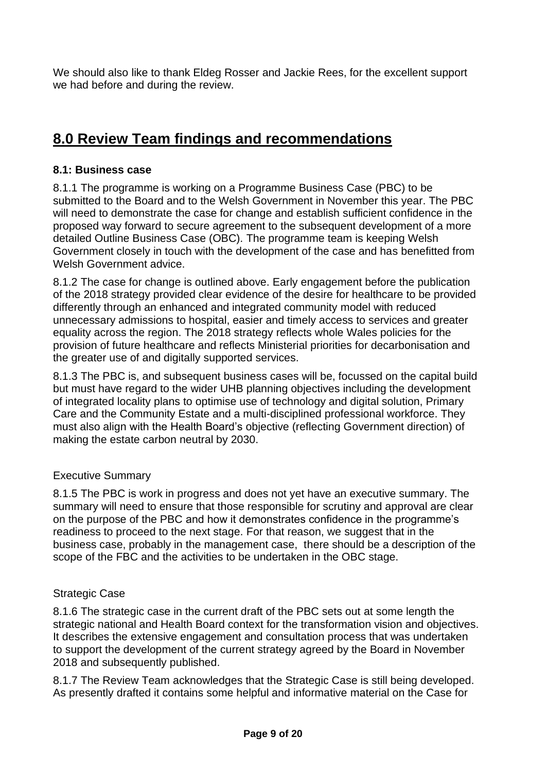We should also like to thank Eldeg Rosser and Jackie Rees, for the excellent support we had before and during the review.

## **8.0 Review Team findings and recommendations**

### **8.1: Business case**

8.1.1 The programme is working on a Programme Business Case (PBC) to be submitted to the Board and to the Welsh Government in November this year. The PBC will need to demonstrate the case for change and establish sufficient confidence in the proposed way forward to secure agreement to the subsequent development of a more detailed Outline Business Case (OBC). The programme team is keeping Welsh Government closely in touch with the development of the case and has benefitted from Welsh Government advice.

8.1.2 The case for change is outlined above. Early engagement before the publication of the 2018 strategy provided clear evidence of the desire for healthcare to be provided differently through an enhanced and integrated community model with reduced unnecessary admissions to hospital, easier and timely access to services and greater equality across the region. The 2018 strategy reflects whole Wales policies for the provision of future healthcare and reflects Ministerial priorities for decarbonisation and the greater use of and digitally supported services.

8.1.3 The PBC is, and subsequent business cases will be, focussed on the capital build but must have regard to the wider UHB planning objectives including the development of integrated locality plans to optimise use of technology and digital solution, Primary Care and the Community Estate and a multi-disciplined professional workforce. They must also align with the Health Board's objective (reflecting Government direction) of making the estate carbon neutral by 2030.

#### Executive Summary

8.1.5 The PBC is work in progress and does not yet have an executive summary. The summary will need to ensure that those responsible for scrutiny and approval are clear on the purpose of the PBC and how it demonstrates confidence in the programme's readiness to proceed to the next stage. For that reason, we suggest that in the business case, probably in the management case, there should be a description of the scope of the FBC and the activities to be undertaken in the OBC stage.

#### Strategic Case

8.1.6 The strategic case in the current draft of the PBC sets out at some length the strategic national and Health Board context for the transformation vision and objectives. It describes the extensive engagement and consultation process that was undertaken to support the development of the current strategy agreed by the Board in November 2018 and subsequently published.

8.1.7 The Review Team acknowledges that the Strategic Case is still being developed. As presently drafted it contains some helpful and informative material on the Case for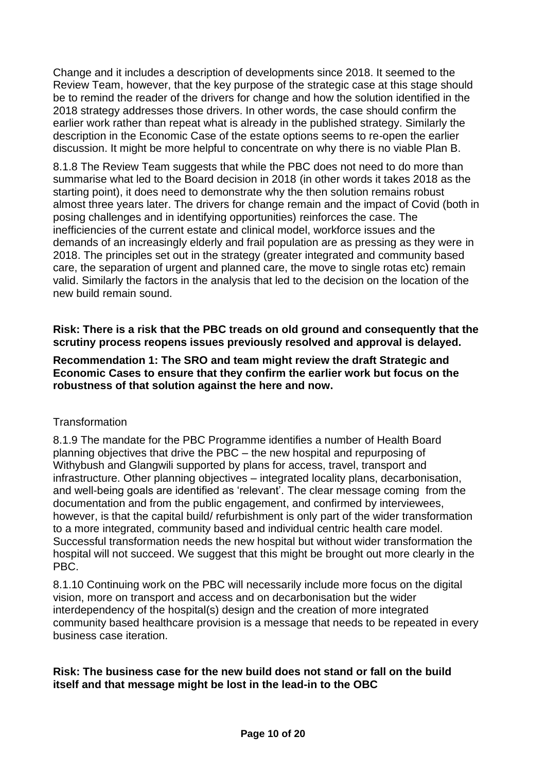Change and it includes a description of developments since 2018. It seemed to the Review Team, however, that the key purpose of the strategic case at this stage should be to remind the reader of the drivers for change and how the solution identified in the 2018 strategy addresses those drivers. In other words, the case should confirm the earlier work rather than repeat what is already in the published strategy. Similarly the description in the Economic Case of the estate options seems to re-open the earlier discussion. It might be more helpful to concentrate on why there is no viable Plan B.

8.1.8 The Review Team suggests that while the PBC does not need to do more than summarise what led to the Board decision in 2018 (in other words it takes 2018 as the starting point), it does need to demonstrate why the then solution remains robust almost three years later. The drivers for change remain and the impact of Covid (both in posing challenges and in identifying opportunities) reinforces the case. The inefficiencies of the current estate and clinical model, workforce issues and the demands of an increasingly elderly and frail population are as pressing as they were in 2018. The principles set out in the strategy (greater integrated and community based care, the separation of urgent and planned care, the move to single rotas etc) remain valid. Similarly the factors in the analysis that led to the decision on the location of the new build remain sound.

#### **Risk: There is a risk that the PBC treads on old ground and consequently that the scrutiny process reopens issues previously resolved and approval is delayed.**

#### **Recommendation 1: The SRO and team might review the draft Strategic and Economic Cases to ensure that they confirm the earlier work but focus on the robustness of that solution against the here and now.**

#### **Transformation**

8.1.9 The mandate for the PBC Programme identifies a number of Health Board planning objectives that drive the PBC – the new hospital and repurposing of Withybush and Glangwili supported by plans for access, travel, transport and infrastructure. Other planning objectives – integrated locality plans, decarbonisation, and well-being goals are identified as 'relevant'. The clear message coming from the documentation and from the public engagement, and confirmed by interviewees, however, is that the capital build/ refurbishment is only part of the wider transformation to a more integrated, community based and individual centric health care model. Successful transformation needs the new hospital but without wider transformation the hospital will not succeed. We suggest that this might be brought out more clearly in the PBC.

8.1.10 Continuing work on the PBC will necessarily include more focus on the digital vision, more on transport and access and on decarbonisation but the wider interdependency of the hospital(s) design and the creation of more integrated community based healthcare provision is a message that needs to be repeated in every business case iteration.

#### **Risk: The business case for the new build does not stand or fall on the build itself and that message might be lost in the lead-in to the OBC**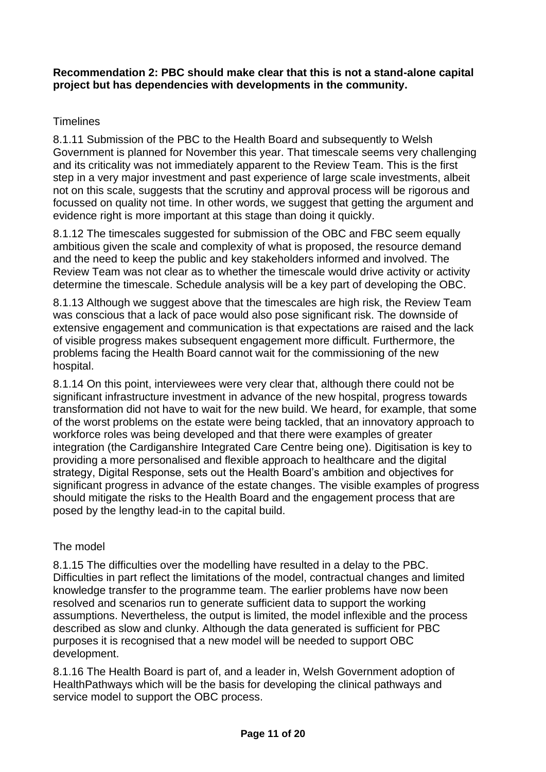#### **Recommendation 2: PBC should make clear that this is not a stand-alone capital project but has dependencies with developments in the community.**

### Timelines

8.1.11 Submission of the PBC to the Health Board and subsequently to Welsh Government is planned for November this year. That timescale seems very challenging and its criticality was not immediately apparent to the Review Team. This is the first step in a very major investment and past experience of large scale investments, albeit not on this scale, suggests that the scrutiny and approval process will be rigorous and focussed on quality not time. In other words, we suggest that getting the argument and evidence right is more important at this stage than doing it quickly.

8.1.12 The timescales suggested for submission of the OBC and FBC seem equally ambitious given the scale and complexity of what is proposed, the resource demand and the need to keep the public and key stakeholders informed and involved. The Review Team was not clear as to whether the timescale would drive activity or activity determine the timescale. Schedule analysis will be a key part of developing the OBC.

8.1.13 Although we suggest above that the timescales are high risk, the Review Team was conscious that a lack of pace would also pose significant risk. The downside of extensive engagement and communication is that expectations are raised and the lack of visible progress makes subsequent engagement more difficult. Furthermore, the problems facing the Health Board cannot wait for the commissioning of the new hospital.

8.1.14 On this point, interviewees were very clear that, although there could not be significant infrastructure investment in advance of the new hospital, progress towards transformation did not have to wait for the new build. We heard, for example, that some of the worst problems on the estate were being tackled, that an innovatory approach to workforce roles was being developed and that there were examples of greater integration (the Cardiganshire Integrated Care Centre being one). Digitisation is key to providing a more personalised and flexible approach to healthcare and the digital strategy, Digital Response, sets out the Health Board's ambition and objectives for significant progress in advance of the estate changes. The visible examples of progress should mitigate the risks to the Health Board and the engagement process that are posed by the lengthy lead-in to the capital build.

#### The model

8.1.15 The difficulties over the modelling have resulted in a delay to the PBC. Difficulties in part reflect the limitations of the model, contractual changes and limited knowledge transfer to the programme team. The earlier problems have now been resolved and scenarios run to generate sufficient data to support the working assumptions. Nevertheless, the output is limited, the model inflexible and the process described as slow and clunky. Although the data generated is sufficient for PBC purposes it is recognised that a new model will be needed to support OBC development.

8.1.16 The Health Board is part of, and a leader in, Welsh Government adoption of HealthPathways which will be the basis for developing the clinical pathways and service model to support the OBC process.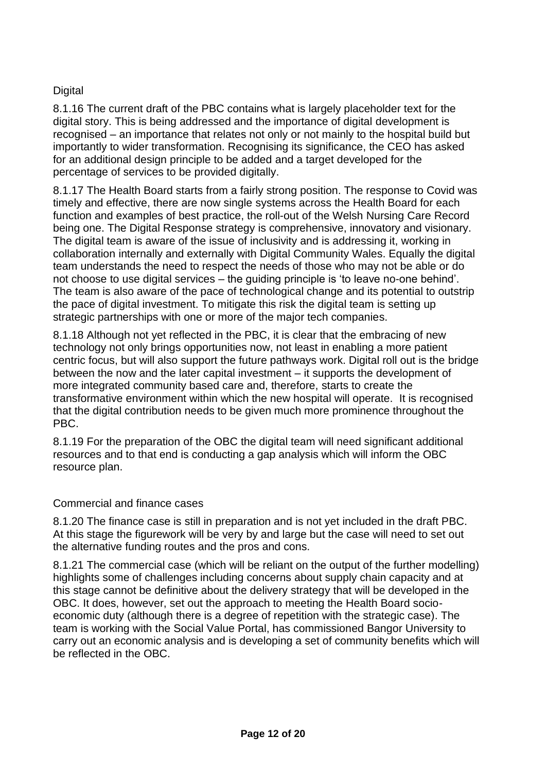### **Digital**

8.1.16 The current draft of the PBC contains what is largely placeholder text for the digital story. This is being addressed and the importance of digital development is recognised – an importance that relates not only or not mainly to the hospital build but importantly to wider transformation. Recognising its significance, the CEO has asked for an additional design principle to be added and a target developed for the percentage of services to be provided digitally.

8.1.17 The Health Board starts from a fairly strong position. The response to Covid was timely and effective, there are now single systems across the Health Board for each function and examples of best practice, the roll-out of the Welsh Nursing Care Record being one. The Digital Response strategy is comprehensive, innovatory and visionary. The digital team is aware of the issue of inclusivity and is addressing it, working in collaboration internally and externally with Digital Community Wales. Equally the digital team understands the need to respect the needs of those who may not be able or do not choose to use digital services – the guiding principle is 'to leave no-one behind'. The team is also aware of the pace of technological change and its potential to outstrip the pace of digital investment. To mitigate this risk the digital team is setting up strategic partnerships with one or more of the major tech companies.

8.1.18 Although not yet reflected in the PBC, it is clear that the embracing of new technology not only brings opportunities now, not least in enabling a more patient centric focus, but will also support the future pathways work. Digital roll out is the bridge between the now and the later capital investment – it supports the development of more integrated community based care and, therefore, starts to create the transformative environment within which the new hospital will operate. It is recognised that the digital contribution needs to be given much more prominence throughout the PBC.

8.1.19 For the preparation of the OBC the digital team will need significant additional resources and to that end is conducting a gap analysis which will inform the OBC resource plan.

#### Commercial and finance cases

8.1.20 The finance case is still in preparation and is not yet included in the draft PBC. At this stage the figurework will be very by and large but the case will need to set out the alternative funding routes and the pros and cons.

8.1.21 The commercial case (which will be reliant on the output of the further modelling) highlights some of challenges including concerns about supply chain capacity and at this stage cannot be definitive about the delivery strategy that will be developed in the OBC. It does, however, set out the approach to meeting the Health Board socioeconomic duty (although there is a degree of repetition with the strategic case). The team is working with the Social Value Portal, has commissioned Bangor University to carry out an economic analysis and is developing a set of community benefits which will be reflected in the OBC.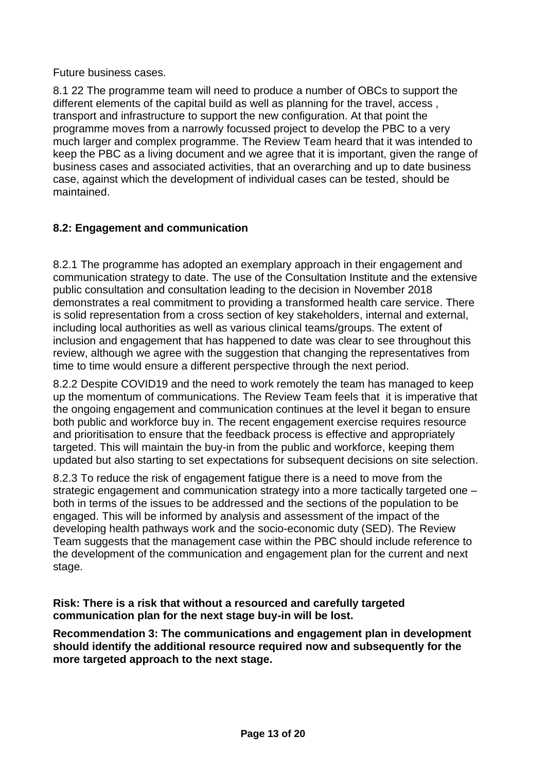Future business cases.

8.1 22 The programme team will need to produce a number of OBCs to support the different elements of the capital build as well as planning for the travel, access , transport and infrastructure to support the new configuration. At that point the programme moves from a narrowly focussed project to develop the PBC to a very much larger and complex programme. The Review Team heard that it was intended to keep the PBC as a living document and we agree that it is important, given the range of business cases and associated activities, that an overarching and up to date business case, against which the development of individual cases can be tested, should be maintained.

### **8.2: Engagement and communication**

8.2.1 The programme has adopted an exemplary approach in their engagement and communication strategy to date. The use of the Consultation Institute and the extensive public consultation and consultation leading to the decision in November 2018 demonstrates a real commitment to providing a transformed health care service. There is solid representation from a cross section of key stakeholders, internal and external, including local authorities as well as various clinical teams/groups. The extent of inclusion and engagement that has happened to date was clear to see throughout this review, although we agree with the suggestion that changing the representatives from time to time would ensure a different perspective through the next period.

8.2.2 Despite COVID19 and the need to work remotely the team has managed to keep up the momentum of communications. The Review Team feels that it is imperative that the ongoing engagement and communication continues at the level it began to ensure both public and workforce buy in. The recent engagement exercise requires resource and prioritisation to ensure that the feedback process is effective and appropriately targeted. This will maintain the buy-in from the public and workforce, keeping them updated but also starting to set expectations for subsequent decisions on site selection.

8.2.3 To reduce the risk of engagement fatigue there is a need to move from the strategic engagement and communication strategy into a more tactically targeted one – both in terms of the issues to be addressed and the sections of the population to be engaged. This will be informed by analysis and assessment of the impact of the developing health pathways work and the socio-economic duty (SED). The Review Team suggests that the management case within the PBC should include reference to the development of the communication and engagement plan for the current and next stage.

**Risk: There is a risk that without a resourced and carefully targeted communication plan for the next stage buy-in will be lost.**

**Recommendation 3: The communications and engagement plan in development should identify the additional resource required now and subsequently for the more targeted approach to the next stage.**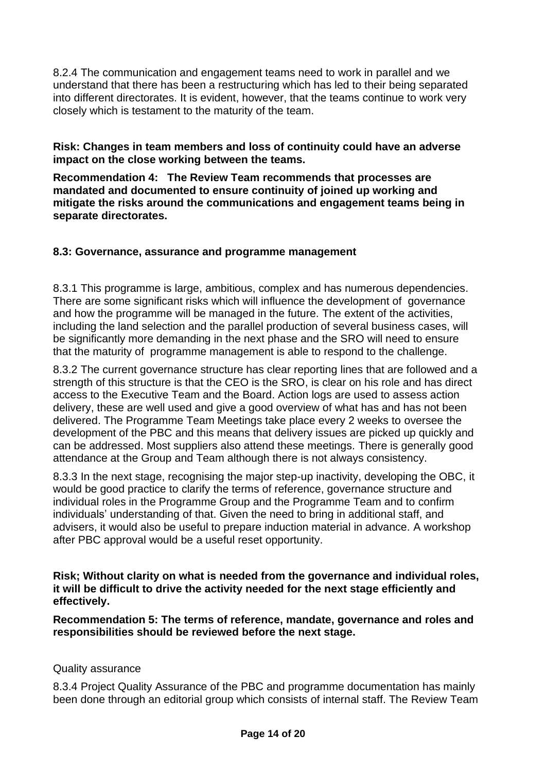8.2.4 The communication and engagement teams need to work in parallel and we understand that there has been a restructuring which has led to their being separated into different directorates. It is evident, however, that the teams continue to work very closely which is testament to the maturity of the team.

**Risk: Changes in team members and loss of continuity could have an adverse impact on the close working between the teams.**

**Recommendation 4: The Review Team recommends that processes are mandated and documented to ensure continuity of joined up working and mitigate the risks around the communications and engagement teams being in separate directorates.**

#### **8.3: Governance, assurance and programme management**

8.3.1 This programme is large, ambitious, complex and has numerous dependencies. There are some significant risks which will influence the development of governance and how the programme will be managed in the future. The extent of the activities, including the land selection and the parallel production of several business cases, will be significantly more demanding in the next phase and the SRO will need to ensure that the maturity of programme management is able to respond to the challenge.

8.3.2 The current governance structure has clear reporting lines that are followed and a strength of this structure is that the CEO is the SRO, is clear on his role and has direct access to the Executive Team and the Board. Action logs are used to assess action delivery, these are well used and give a good overview of what has and has not been delivered. The Programme Team Meetings take place every 2 weeks to oversee the development of the PBC and this means that delivery issues are picked up quickly and can be addressed. Most suppliers also attend these meetings. There is generally good attendance at the Group and Team although there is not always consistency.

8.3.3 In the next stage, recognising the major step-up inactivity, developing the OBC, it would be good practice to clarify the terms of reference, governance structure and individual roles in the Programme Group and the Programme Team and to confirm individuals' understanding of that. Given the need to bring in additional staff, and advisers, it would also be useful to prepare induction material in advance. A workshop after PBC approval would be a useful reset opportunity.

**Risk; Without clarity on what is needed from the governance and individual roles, it will be difficult to drive the activity needed for the next stage efficiently and effectively.** 

**Recommendation 5: The terms of reference, mandate, governance and roles and responsibilities should be reviewed before the next stage.**

#### Quality assurance

8.3.4 Project Quality Assurance of the PBC and programme documentation has mainly been done through an editorial group which consists of internal staff. The Review Team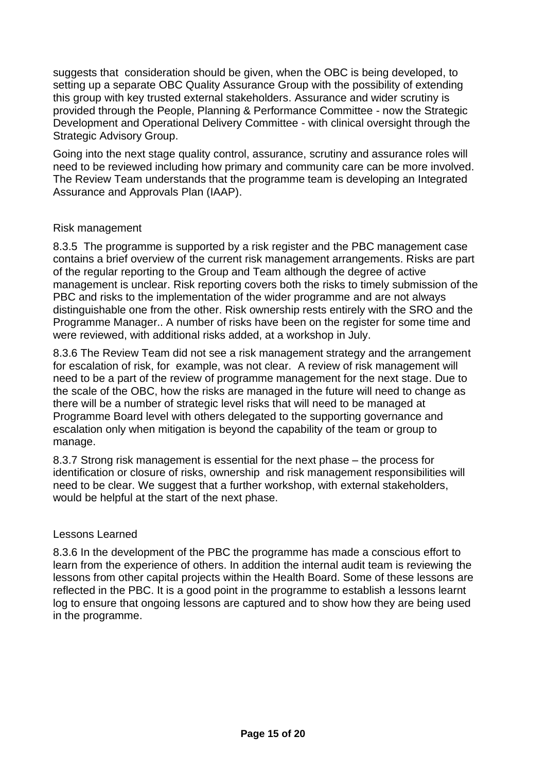suggests that consideration should be given, when the OBC is being developed, to setting up a separate OBC Quality Assurance Group with the possibility of extending this group with key trusted external stakeholders. Assurance and wider scrutiny is provided through the People, Planning & Performance Committee - now the Strategic Development and Operational Delivery Committee - with clinical oversight through the Strategic Advisory Group.

Going into the next stage quality control, assurance, scrutiny and assurance roles will need to be reviewed including how primary and community care can be more involved. The Review Team understands that the programme team is developing an Integrated Assurance and Approvals Plan (IAAP).

#### Risk management

8.3.5 The programme is supported by a risk register and the PBC management case contains a brief overview of the current risk management arrangements. Risks are part of the regular reporting to the Group and Team although the degree of active management is unclear. Risk reporting covers both the risks to timely submission of the PBC and risks to the implementation of the wider programme and are not always distinguishable one from the other. Risk ownership rests entirely with the SRO and the Programme Manager.. A number of risks have been on the register for some time and were reviewed, with additional risks added, at a workshop in July.

8.3.6 The Review Team did not see a risk management strategy and the arrangement for escalation of risk, for example, was not clear. A review of risk management will need to be a part of the review of programme management for the next stage. Due to the scale of the OBC, how the risks are managed in the future will need to change as there will be a number of strategic level risks that will need to be managed at Programme Board level with others delegated to the supporting governance and escalation only when mitigation is beyond the capability of the team or group to manage.

8.3.7 Strong risk management is essential for the next phase – the process for identification or closure of risks, ownership and risk management responsibilities will need to be clear. We suggest that a further workshop, with external stakeholders, would be helpful at the start of the next phase.

#### Lessons Learned

8.3.6 In the development of the PBC the programme has made a conscious effort to learn from the experience of others. In addition the internal audit team is reviewing the lessons from other capital projects within the Health Board. Some of these lessons are reflected in the PBC. It is a good point in the programme to establish a lessons learnt log to ensure that ongoing lessons are captured and to show how they are being used in the programme.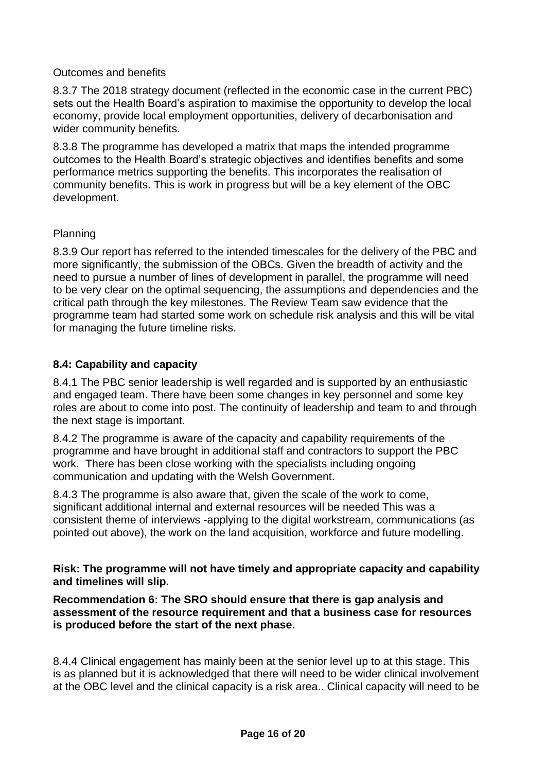#### Outcomes and benefits

8.3.7 The 2018 strategy document (reflected in the economic case in the current PBC) sets out the Health Board's aspiration to maximise the opportunity to develop the local economy, provide local employment opportunities, delivery of decarbonisation and wider community benefits.

8.3.8 The programme has developed a matrix that maps the intended programme outcomes to the Health Board's strategic objectives and identifies benefits and some performance metrics supporting the benefits. This incorporates the realisation of community benefits. This is work in progress but will be a key element of the OBC development.

#### Planning

8.3.9 Our report has referred to the intended timescales for the delivery of the PBC and more significantly, the submission of the OBCs. Given the breadth of activity and the need to pursue a number of lines of development in parallel, the programme will need to be very clear on the optimal sequencing, the assumptions and dependencies and the critical path through the key milestones. The Review Team saw evidence that the programme team had started some work on schedule risk analysis and this will be vital for managing the future timeline risks.

#### **8.4: Capability and capacity**

8.4.1 The PBC senior leadership is well regarded and is supported by an enthusiastic and engaged team. There have been some changes in key personnel and some key roles are about to come into post. The continuity of leadership and team to and through the next stage is important.

8.4.2 The programme is aware of the capacity and capability requirements of the programme and have brought in additional staff and contractors to support the PBC work. There has been close working with the specialists including ongoing communication and updating with the Welsh Government.

8.4.3 The programme is also aware that, given the scale of the work to come, significant additional internal and external resources will be needed This was a consistent theme of interviews -applying to the digital workstream, communications (as pointed out above), the work on the land acquisition, workforce and future modelling.

**Risk: The programme will not have timely and appropriate capacity and capability and timelines will slip.**

**Recommendation 6: The SRO should ensure that there is gap analysis and assessment of the resource requirement and that a business case for resources is produced before the start of the next phase.** 

8.4.4 Clinical engagement has mainly been at the senior level up to at this stage. This is as planned but it is acknowledged that there will need to be wider clinical involvement at the OBC level and the clinical capacity is a risk area.. Clinical capacity will need to be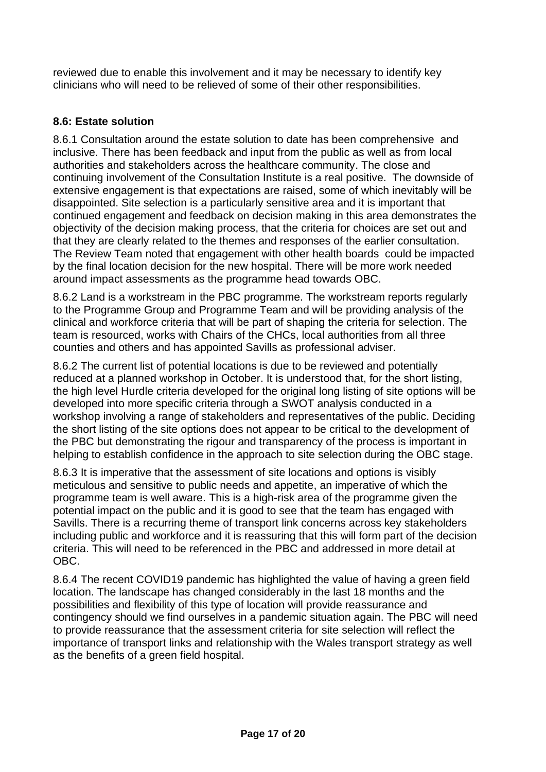reviewed due to enable this involvement and it may be necessary to identify key clinicians who will need to be relieved of some of their other responsibilities.

### **8.6: Estate solution**

8.6.1 Consultation around the estate solution to date has been comprehensive and inclusive. There has been feedback and input from the public as well as from local authorities and stakeholders across the healthcare community. The close and continuing involvement of the Consultation Institute is a real positive. The downside of extensive engagement is that expectations are raised, some of which inevitably will be disappointed. Site selection is a particularly sensitive area and it is important that continued engagement and feedback on decision making in this area demonstrates the objectivity of the decision making process, that the criteria for choices are set out and that they are clearly related to the themes and responses of the earlier consultation. The Review Team noted that engagement with other health boards could be impacted by the final location decision for the new hospital. There will be more work needed around impact assessments as the programme head towards OBC.

8.6.2 Land is a workstream in the PBC programme. The workstream reports regularly to the Programme Group and Programme Team and will be providing analysis of the clinical and workforce criteria that will be part of shaping the criteria for selection. The team is resourced, works with Chairs of the CHCs, local authorities from all three counties and others and has appointed Savills as professional adviser.

8.6.2 The current list of potential locations is due to be reviewed and potentially reduced at a planned workshop in October. It is understood that, for the short listing, the high level Hurdle criteria developed for the original long listing of site options will be developed into more specific criteria through a SWOT analysis conducted in a workshop involving a range of stakeholders and representatives of the public. Deciding the short listing of the site options does not appear to be critical to the development of the PBC but demonstrating the rigour and transparency of the process is important in helping to establish confidence in the approach to site selection during the OBC stage.

8.6.3 It is imperative that the assessment of site locations and options is visibly meticulous and sensitive to public needs and appetite, an imperative of which the programme team is well aware. This is a high-risk area of the programme given the potential impact on the public and it is good to see that the team has engaged with Savills. There is a recurring theme of transport link concerns across key stakeholders including public and workforce and it is reassuring that this will form part of the decision criteria. This will need to be referenced in the PBC and addressed in more detail at OBC.

8.6.4 The recent COVID19 pandemic has highlighted the value of having a green field location. The landscape has changed considerably in the last 18 months and the possibilities and flexibility of this type of location will provide reassurance and contingency should we find ourselves in a pandemic situation again. The PBC will need to provide reassurance that the assessment criteria for site selection will reflect the importance of transport links and relationship with the Wales transport strategy as well as the benefits of a green field hospital.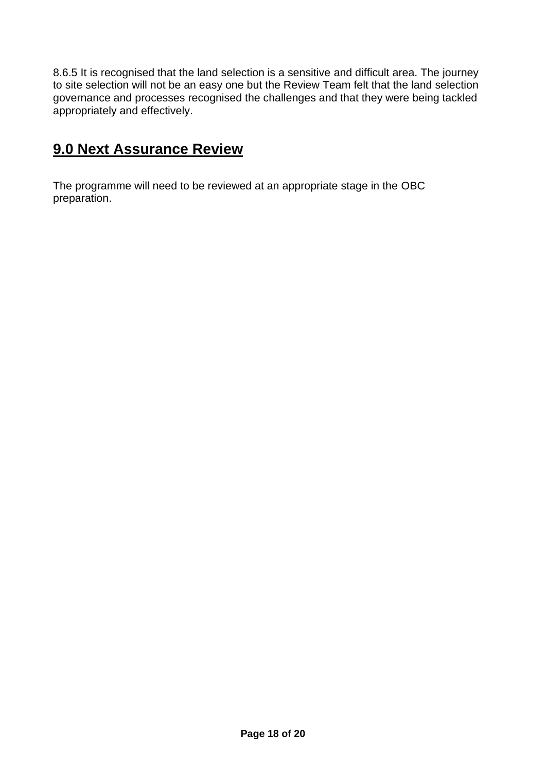8.6.5 It is recognised that the land selection is a sensitive and difficult area. The journey to site selection will not be an easy one but the Review Team felt that the land selection governance and processes recognised the challenges and that they were being tackled appropriately and effectively.

### **9.0 Next Assurance Review**

The programme will need to be reviewed at an appropriate stage in the OBC preparation.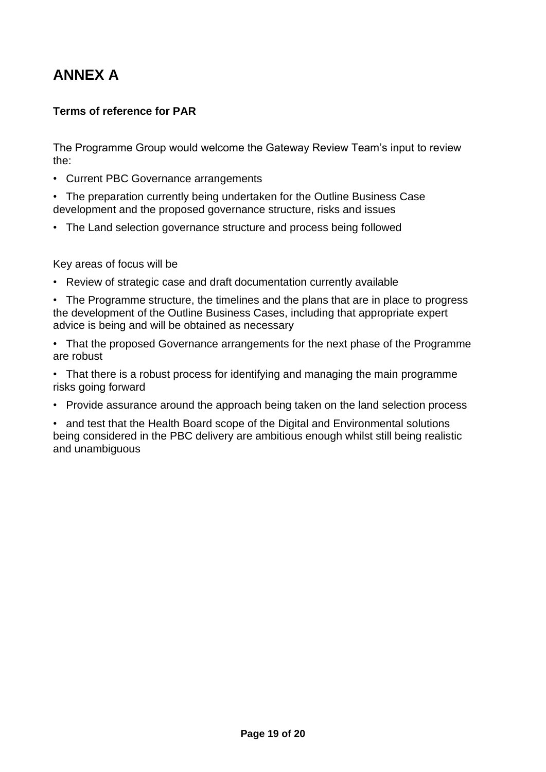## **ANNEX A**

### **Terms of reference for PAR**

The Programme Group would welcome the Gateway Review Team's input to review the:

- Current PBC Governance arrangements
- The preparation currently being undertaken for the Outline Business Case development and the proposed governance structure, risks and issues
- The Land selection governance structure and process being followed

Key areas of focus will be

- Review of strategic case and draft documentation currently available
- The Programme structure, the timelines and the plans that are in place to progress the development of the Outline Business Cases, including that appropriate expert advice is being and will be obtained as necessary
- That the proposed Governance arrangements for the next phase of the Programme are robust
- That there is a robust process for identifying and managing the main programme risks going forward
- Provide assurance around the approach being taken on the land selection process

• and test that the Health Board scope of the Digital and Environmental solutions being considered in the PBC delivery are ambitious enough whilst still being realistic and unambiguous